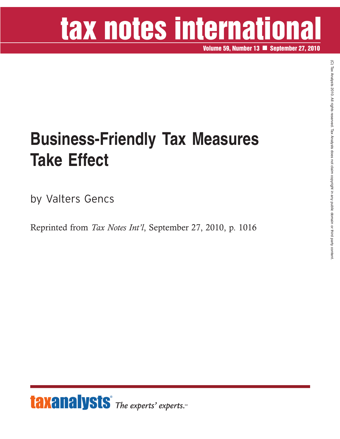# tax notes international

**Volume 59, Number 13 September 27, 2010**

### **Business-Friendly Tax Measures Take Effect**

by Valters Gencs

Reprinted from *Tax Notes Int'l*, September 27, 2010, p. 1016

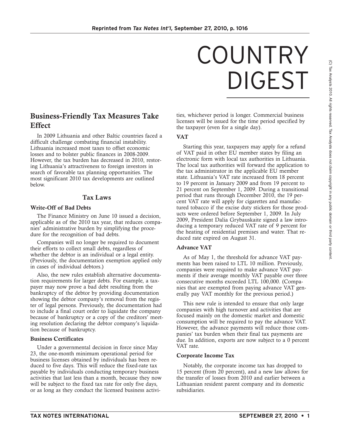## COUNTRY DIGEST

#### **Business-Friendly Tax Measures Take Effect**

In 2009 Lithuania and other Baltic countries faced a difficult challenge combating financial instability. Lithuania increased most taxes to offset economic losses and to bolster public finances in 2008-2009. However, the tax burden has decreased in 2010, restoring Lithuania's attractiveness to foreign investors in search of favorable tax planning opportunities. The most significant 2010 tax developments are outlined below.

#### **Tax Laws**

#### **Write-Off of Bad Debts**

The Finance Ministry on June 10 issued a decision, applicable as of the 2010 tax year, that reduces companies' administrative burden by simplifying the procedure for the recognition of bad debts.

Companies will no longer be required to document their efforts to collect small debts, regardless of whether the debtor is an individual or a legal entity. (Previously, the documentation exemption applied only in cases of individual debtors.)

Also, the new rules establish alternative documentation requirements for larger debts. For example, a taxpayer may now prove a bad debt resulting from the bankruptcy of the debtor by providing documentation showing the debtor company's removal from the register of legal persons. Previously, the documentation had to include a final court order to liquidate the company because of bankruptcy or a copy of the creditors' meeting resolution declaring the debtor company's liquidation because of bankruptcy.

#### **Business Certificates**

Under a governmental decision in force since May 23, the one-month minimum operational period for business licenses obtained by individuals has been reduced to five days. This will reduce the fixed-rate tax payable by individuals conducting temporary business activities that last less than a month, because they now will be subject to the fixed tax rate for only five days, or as long as they conduct the licensed business activities, whichever period is longer. Commercial business licenses will be issued for the time period specified by the taxpayer (even for a single day).

#### **VAT**

Starting this year, taxpayers may apply for a refund of VAT paid in other EU member states by filing an electronic form with local tax authorities in Lithuania. The local tax authorities will forward the application to the tax administrator in the applicable EU member state. Lithuania's VAT rate increased from 18 percent to 19 percent in January 2009 and from 19 percent to 21 percent on September 1, 2009. During a transitional period that runs through December 2010, the 19 percent VAT rate will apply for cigarettes and manufactured tobacco if the excise duty stickers for those products were ordered before September 1, 2009. In July 2009, President Dalia Grybauskaite signed a law introducing a temporary reduced VAT rate of 9 percent for the heating of residential premises and water. That reduced rate expired on August 31.

#### **Advance VAT**

As of May 1, the threshold for advance VAT payments has been raised to LTL 10 million. Previously, companies were required to make advance VAT payments if their average monthly VAT payable over three consecutive months exceeded LTL 100,000. (Companies that are exempted from paying advance VAT generally pay VAT monthly for the previous period.)

This new rule is intended to ensure that only large companies with high turnover and activities that are focused mainly on the domestic market and domestic consumption will be required to pay the advance VAT. However, the advance payments will reduce those companies' tax burden when their final tax payments are due. In addition, exports are now subject to a 0 percent VAT rate.

#### **Corporate Income Tax**

Notably, the corporate income tax has dropped to 15 percent (from 20 percent), and a new law allows for the transfer of losses from 2010 and earlier between a Lithuanian resident parent company and its domestic subsidiaries.

 $\widehat{\Omega}$